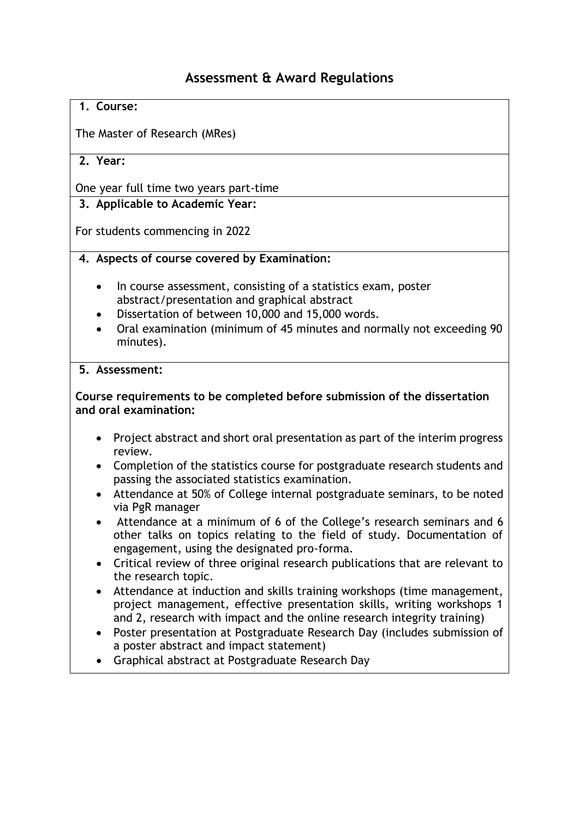# **Assessment & Award Regulations**

### **1. Course:**

The Master of Research (MRes)

# **2. Year:**

One year full time two years part-time

# **3. Applicable to Academic Year:**

For students commencing in 2022

### **4. Aspects of course covered by Examination:**

- In course assessment, consisting of a statistics exam, poster abstract/presentation and graphical abstract
- Dissertation of between 10,000 and 15,000 words.
- Oral examination (minimum of 45 minutes and normally not exceeding 90 minutes).

#### **5. Assessment:**

### **Course requirements to be completed before submission of the dissertation and oral examination:**

- Project abstract and short oral presentation as part of the interim progress review.
- Completion of the statistics course for postgraduate research students and passing the associated statistics examination.
- Attendance at 50% of College internal postgraduate seminars, to be noted via PgR manager
- Attendance at a minimum of 6 of the College's research seminars and 6 other talks on topics relating to the field of study. Documentation of engagement, using the designated pro-forma.
- Critical review of three original research publications that are relevant to the research topic.
- Attendance at induction and skills training workshops (time management, project management, effective presentation skills, writing workshops 1 and 2, research with impact and the online research integrity training)
- Poster presentation at Postgraduate Research Day (includes submission of a poster abstract and impact statement)
- Graphical abstract at Postgraduate Research Day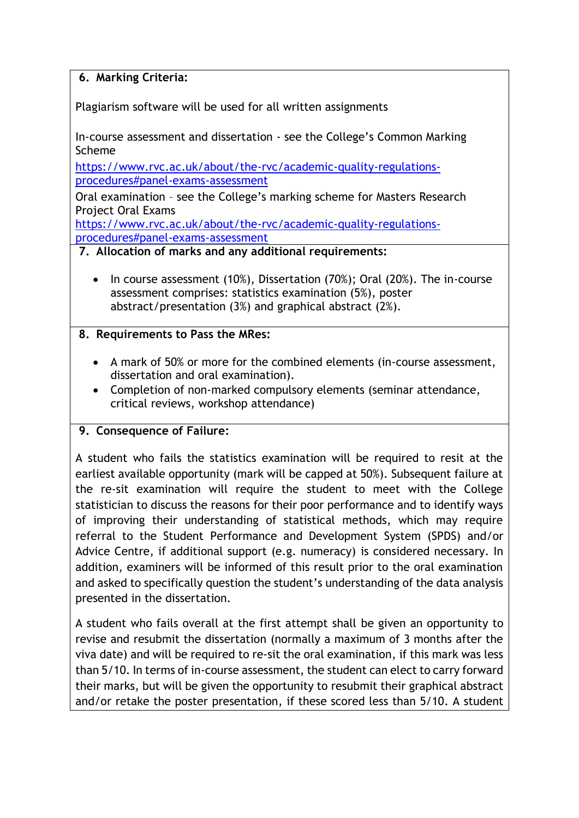# **6. Marking Criteria:**

Plagiarism software will be used for all written assignments

In-course assessment and dissertation - see the College's Common Marking Scheme

[https://www.rvc.ac.uk/about/the-rvc/academic-quality-regulations](https://www.rvc.ac.uk/about/the-rvc/academic-quality-regulations-procedures#panel-exams-assessment)[procedures#panel-exams-assessment](https://www.rvc.ac.uk/about/the-rvc/academic-quality-regulations-procedures#panel-exams-assessment)

Oral examination – see the College's marking scheme for Masters Research Project Oral Exams

[https://www.rvc.ac.uk/about/the-rvc/academic-quality-regulations](https://www.rvc.ac.uk/about/the-rvc/academic-quality-regulations-procedures#panel-exams-assessment)[procedures#panel-exams-assessment](https://www.rvc.ac.uk/about/the-rvc/academic-quality-regulations-procedures#panel-exams-assessment)

### **7. Allocation of marks and any additional requirements:**

• In course assessment (10%), Dissertation (70%); Oral (20%). The in-course assessment comprises: statistics examination (5%), poster abstract/presentation (3%) and graphical abstract (2%).

# **8. Requirements to Pass the MRes:**

- A mark of 50% or more for the combined elements (in-course assessment, dissertation and oral examination).
- Completion of non-marked compulsory elements (seminar attendance, critical reviews, workshop attendance)

# **9. Consequence of Failure:**

A student who fails the statistics examination will be required to resit at the earliest available opportunity (mark will be capped at 50%). Subsequent failure at the re-sit examination will require the student to meet with the College statistician to discuss the reasons for their poor performance and to identify ways of improving their understanding of statistical methods, which may require referral to the Student Performance and Development System (SPDS) and/or Advice Centre, if additional support (e.g. numeracy) is considered necessary. In addition, examiners will be informed of this result prior to the oral examination and asked to specifically question the student's understanding of the data analysis presented in the dissertation.

A student who fails overall at the first attempt shall be given an opportunity to revise and resubmit the dissertation (normally a maximum of 3 months after the viva date) and will be required to re-sit the oral examination, if this mark was less than 5/10. In terms of in-course assessment, the student can elect to carry forward their marks, but will be given the opportunity to resubmit their graphical abstract and/or retake the poster presentation, if these scored less than 5/10. A student